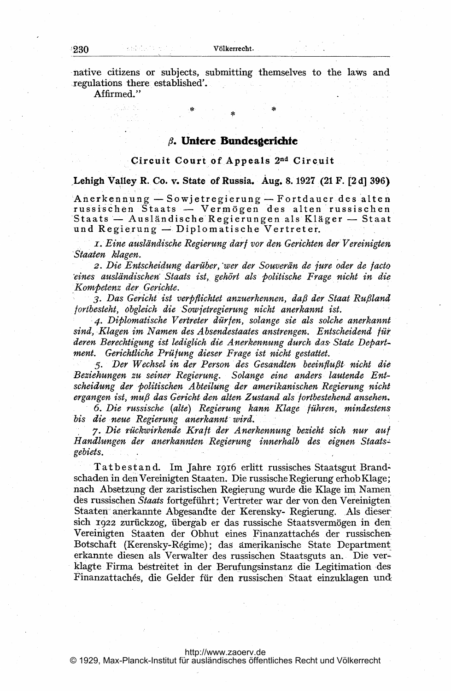native citizens or subjects, submitting themselves to the laws and regulations there established'.

Affirmed."

antico de la c

# $\beta$ . Untere Bundesgerichte

### Circuit Court of Appeals 2nd Circuit

Lehigh Valley R. Co. v. State of Russia. Aug. 8. 1927 (21 F. [2 d] 396)

ennung - Sowjetregierung - Fortdauer des alten Anerkennung – Sowjetregierung – Fortdauer des alten<br>russischen Staats – Vermögen des alten russischen Staats - Ausländische Regierungen als Kläger - Staat und Regierung - Diplomatische Vertreter.

1. Eine ausländische Regierung darf vor den Gerichten der Vereinigten Staaten klagen.

2. Die Entscheidung darüber, wer der Souverän de jure oder de facto 'eines ausländischen Staats ist, gehört als politische Frage nicht in die Kompetenz der Gerichte.

3. Das Gericht ist verpflichtet anzuerkennen, daß der Staat Rußland lortbesteht, obgleich die Sowjetregierung nicht anerkannt ist.

4 Diplomatische Vertreter dürfen, solange sie als solche anerkannt sind, Klagen im Namen des Absendestaates anstrengen. Entscheidend für deren Berechtigung ist lediglich die Anerkennung durch das- State Department. Gerichtliche Prüfung dieser Frage ist nicht gestattet.

5. Der Wechsel in der Person des Gesandten beeinflußt- nicht die Beziehungen zu seiner Regierung. Solange eine anders lautende Entscheidung der politischen Abteilung der amerikanischen Regierung nicht ergangen ist, muß das Gericht den alten Zustand als fortbestehend ansehen.

6. Die russische (alte) Regierung kann Klage führen, mindestens bis die neue Regierung anerkannt wird.

7. Die rückwirkende Kraft der Anerkennung bezieht sich nur auf Handlungen der anerkannten Regierung innerhalb des eignen Staatsgebiets.

Tatbestand. Im Jahre 1916 erlitt russisches Staatsgut Brandschaden in den Vereinigten Staaten. Die russische Regierung erhob Klage; nach Absetzung der zaristischen Regierung wurde die Klage im Namen des russischen Staats fortgeführt; Vertreter war der von den Vereinigten Staaten anerkannte Abgesandte der Kerensky- Regierung. Als dieser sich 1922 zurückzog, übergab er das russische Staatsvermögen in den Vereinigten Staaten der Obhut eines Finanzattachés der russischen Botschaft (Kerensky-R6gime); das ämerikanische State Department, erkannte diesen als Verwalter des russischen Staatsguts an. Die verklagte Firma bestreitet in der Berufungsinstanz die Legitimation des Finanzattachés, die Gelder für den russischen Staat einzuklagen und

<http://www.zaoerv.de>

© 1929, Max-Planck-Institut für ausländisches öffentliches Recht und Völkerrecht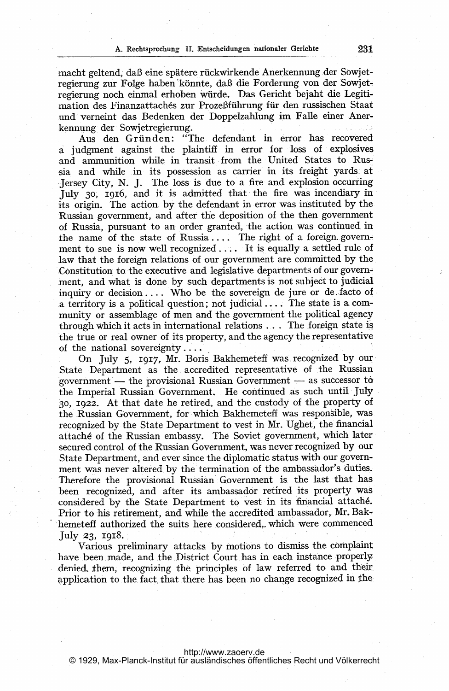macht geltend, daß eine spätere rückwirkende Anerkennung der Sowjetregierung zur Folge haben könnte, daß die Forderung von der Sowjetregierung noch einmal erhoben würde. Das Gericht bejaht die Legitimation des Finanzattachés zur Prozeßführung für den russischen Staat und verneint das Bedenken der Doppelzahlung im <sup>1</sup> Falle einer Anerkennung der Sowjetregierung.

Aus den Griinden: "The defendant in error has recovered a judgment against the plaintiff in error for loss of explosives and ammunition while in transit from the United States to Russia and while in its possession as carrier in its freight yards at Jersey City, N. J. The loss is due to <sup>a</sup> fire and explosion occurring July 30, 1916, and it is admitted that. the fire was incendiary in its origin. The action. by the defendant in error was instituted by the Russian government, and after the deposition of the then government of Russia, pursuant to an,order granted, the action was continued in the name of the state of Russia  $\dots$ . The right of a foreign government to sue is now well recognized  $\dots$ . It is equally a settled rule of 1aw that the foreign relations of our government are committed by the Constitution to the executive and legislative departments of our government, and what is done by such departments is not subject to judicial inquiry or decision  $\dots$ . Who be the sovereign de jure or de facto of a territory is a political question; not judicial  $\ldots$ . The state is a community or assemblage of men and the government the political agency through which it acts in international relations . . . The foreign state is the true or real owner of its property, and the agency the representative of the national sovereignty.

On July 5, 1917, Mr. Boris Bakhemeteff was recognized by our State Department as the. accredited representative of the Russian State Department as the accredited representative of the Russian<br>government — the provisional Russian Government — as successor to the Imperial Russian Government, He continued as such until July 30, 1922. At that date he retired, and the custody of the property of the Russian Government, for which Bakhemeteff was responsible, was recognized by the State Department to vest in Mr. Ughet, the financial attaché of the Russian embassy. The Soviet government, which later secured control of the Russian Government, was never recognized by our State Department, and ever since the diplomatic status with our government was never altered by the termination of the ambassador's duties. Therefore the provisional Russian Government is. the last that has been recognized, and after its ambassador retired its property was. considered by the State Department to vest in its financial attach6. Prior to his retirement, and while the accredited ambassador, Mr. Bakhemeteff authorized the suits here considered,. which were commenced July 23,  $1918$ .

Various preliminary attacks by motions to dismiss the complaint have been made, and the District Court has in each instance properly denied. them, recognizing the principles of law referred to and their application to the fact that there has been no change recognized in the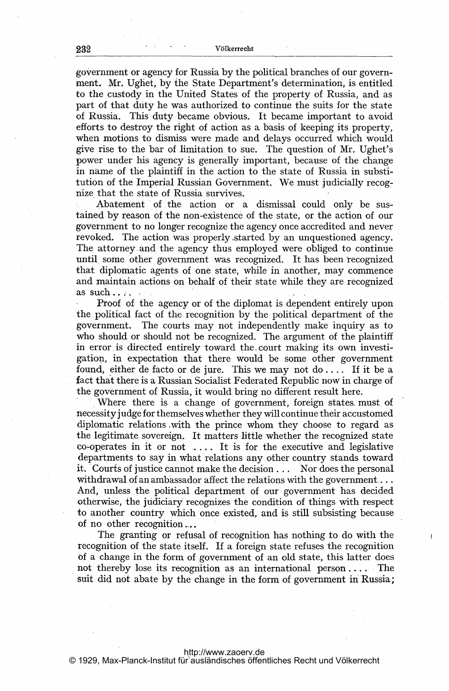government or agency for Russia by the political branches of our government. Mr. Ughet, by the State Department's determination, is entitled to the custody in the United States of the property of Russia, and as part of that duty he was authorized to continue the suits for the state of Russia. This duty became obvious. It became important to. avoid efforts to destroy the right of action as a basis of keeping its property, when motions to dismiss were made and delays occurred which would give rise to the bar of limitation. to sue. The question of Mr. Ughet's power under his agency is generally important, because of the change in name of the plaintiff in the action to the state of Russia in substitution of the Imperial Russian Government. We must judicially recognize that the state of Russia survives.

Abatement of the action or a dismissal could only be sustained by reason of the non-existence of the state, or the action of our government to no longer recognize the agency once accredited and never revoked. The action was properly started by an unquestioned agency. The attorney and the agency thus employed were obliged to continue until some other government was recognized. It has been recognized that diplomatic agents of one state, while in another, may commence and maintain actions on behalf of their state while they are recognized as such....

Proof of the agency or of the diplomat is dependent entirely upon the political fact of the recognition by the political department of the government. The courts may not independently make inquiry as to who should or should not be recognized. The argument of the plaintiff in error, is directed entirely toward the court making its own investigatiop, in expectation that there would be some other government found, either de facto or de jure. This we may not do.... If it be a fact that there is a Russian Socialist, Federated Republic now in charge of the government of Russia, it would bring no different result here.

Where there is <sup>a</sup> change of government, foreign states. must. of necessity judge for themselves whether they will continue their accustomed diplomatic relations with the prince whom they choose to regard as the legitimate sovereign. It matters little whether the recognized state  $co-operators$  in it or not  $\dots$  It is for the executive and legislative departments to say in what relations any other country stands toward it. Courts of justice cannot make the decision... Nor does the personal withdrawal of an ambassador affect the relations with the government... And, unless the political department of our government has decided otherwise, the judiciary recognizes the condition of things with respect to another country which once existed, and is still subsisting because of no other recognition.,...

The granting or refusal of recognition has nothing to do with the recognition of the state itself. If a foreign state refuses the recognition of a change in the form of government of an old state, this latter does not thereby lose its recognition as an international person.... The suit did not abate by the change in the form of government in Russia;

<http://www.zaoerv.de> © 1929, Max-Planck-Institut für ausländisches öffentliches Recht und Völkerrecht